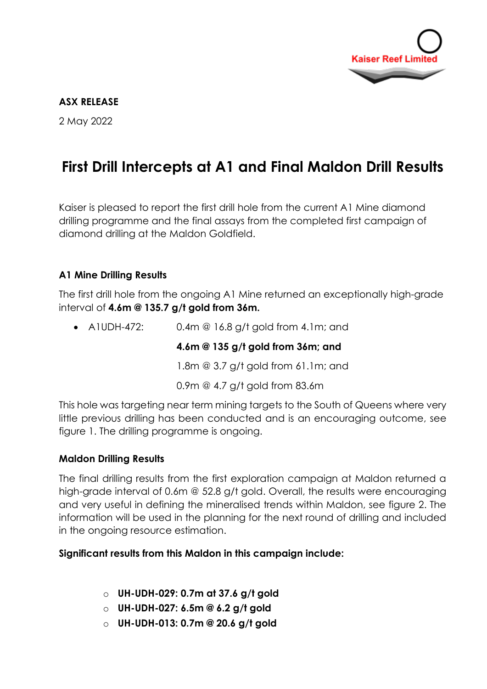

## **ASX RELEASE**

2 May 2022

# **First Drill Intercepts at A1 and Final Maldon Drill Results**

Kaiser is pleased to report the first drill hole from the current A1 Mine diamond drilling programme and the final assays from the completed first campaign of diamond drilling at the Maldon Goldfield.

# **A1 Mine Drilling Results**

The first drill hole from the ongoing A1 Mine returned an exceptionally high-grade interval of **4.6m @ 135.7 g/t gold from 36m.**

 $\bullet$  A1UDH-472: 0.4m @ 16.8 g/t gold from 4.1m; and **4.6m @ 135 g/t gold from 36m; and** 1.8m @ 3.7 g/t gold from 61.1m; and 0.9m @ 4.7 g/t gold from 83.6m

This hole was targeting near term mining targets to the South of Queens where very little previous drilling has been conducted and is an encouraging outcome, see figure 1. The drilling programme is ongoing.

## **Maldon Drilling Results**

The final drilling results from the first exploration campaign at Maldon returned a high-grade interval of 0.6m @ 52.8 g/t gold. Overall, the results were encouraging and very useful in defining the mineralised trends within Maldon, see figure 2. The information will be used in the planning for the next round of drilling and included in the ongoing resource estimation.

## **Significant results from this Maldon in this campaign include:**

- o **UH-UDH-029: 0.7m at 37.6 g/t gold**
- o **UH-UDH-027: 6.5m @ 6.2 g/t gold**
- o **UH-UDH-013: 0.7m @ 20.6 g/t gold**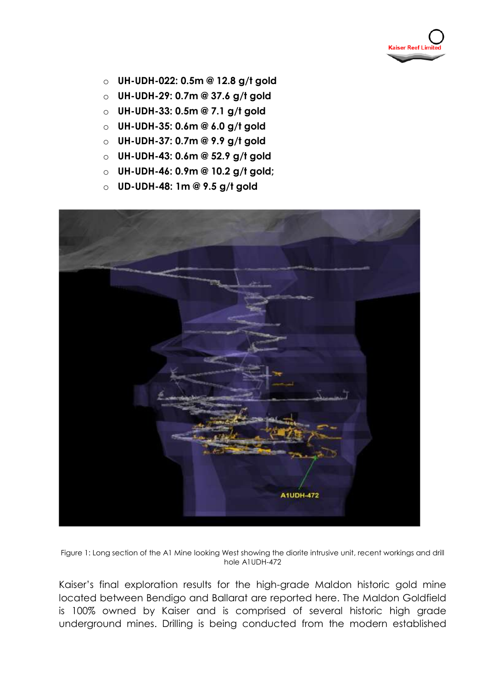

- o **UH-UDH-022: 0.5m @ 12.8 g/t gold**
- o **UH-UDH-29: 0.7m @ 37.6 g/t gold**
- o **UH-UDH-33: 0.5m @ 7.1 g/t gold**
- o **UH-UDH-35: 0.6m @ 6.0 g/t gold**
- o **UH-UDH-37: 0.7m @ 9.9 g/t gold**
- o **UH-UDH-43: 0.6m @ 52.9 g/t gold**
- o **UH-UDH-46: 0.9m @ 10.2 g/t gold;**
- o **UD-UDH-48: 1m @ 9.5 g/t gold**



Figure 1: Long section of the A1 Mine looking West showing the diorite intrusive unit, recent workings and drill hole A1UDH-472

Kaiser's final exploration results for the high-grade Maldon historic gold mine located between Bendigo and Ballarat are reported here. The Maldon Goldfield is 100% owned by Kaiser and is comprised of several historic high grade underground mines. Drilling is being conducted from the modern established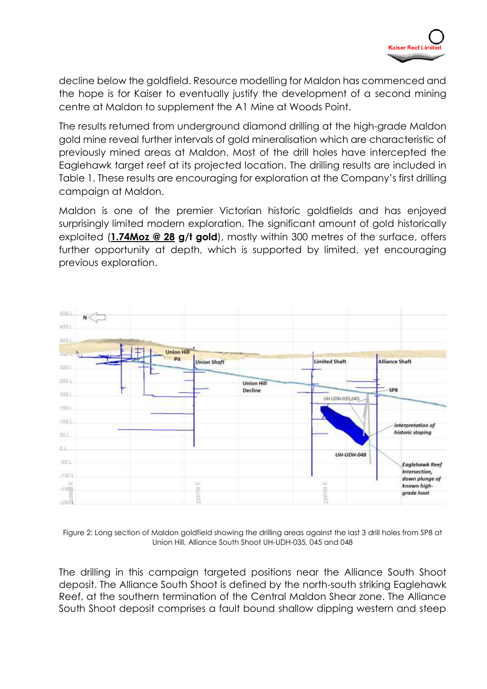

decline below the goldfield. Resource modelling for Maldon has commenced and the hope is for Kaiser to eventually justify the development of a second mining centre at Maldon to supplement the A1 Mine at Woods Point.

The results returned from underground diamond drilling at the high-grade Maldon gold mine reveal further intervals of gold mineralisation which are characteristic of previously mined areas at Maldon. Most of the drill holes have intercepted the Eaglehawk target reef at its projected location. The drilling results are included in Table 1. These results are encouraging for exploration at the Company's first drilling campaign at Maldon.

Maldon is one of the premier Victorian historic goldfields and has enjoyed surprisingly limited modern exploration. The significant amount of gold historically exploited (**[1.74Moz](mailto:1.74Moz@28) @ 28 g/t gold**), mostly within 300 metres of the surface, offers further opportunity at depth, which is supported by limited, yet encouraging previous exploration.



Figure 2: Long section of Maldon goldfield showing the drilling areas against the last 3 drill holes from SP8 at Union Hill, Alliance South Shoot UH-UDH-035, 045 and 048

The drilling in this campaign targeted positions near the Alliance South Shoot deposit. The Alliance South Shoot is defined by the north-south striking Eaglehawk Reef, at the southern termination of the Central Maldon Shear zone. The Alliance South Shoot deposit comprises a fault bound shallow dipping western and steep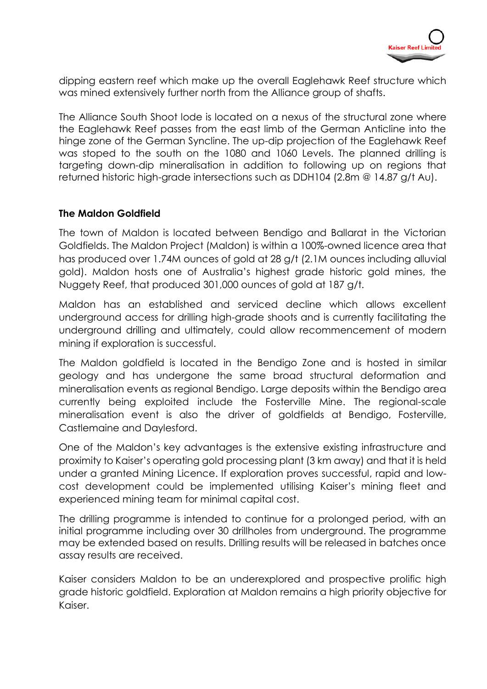

dipping eastern reef which make up the overall Eaglehawk Reef structure which was mined extensively further north from the Alliance group of shafts.

The Alliance South Shoot lode is located on a nexus of the structural zone where the Eaglehawk Reef passes from the east limb of the German Anticline into the hinge zone of the German Syncline. The up-dip projection of the Eaglehawk Reef was stoped to the south on the 1080 and 1060 Levels. The planned drilling is targeting down-dip mineralisation in addition to following up on regions that returned historic high-grade intersections such as DDH104 (2.8m @ 14.87 g/t Au).

### **The Maldon Goldfield**

The town of Maldon is located between Bendigo and Ballarat in the Victorian Goldfields. The Maldon Project (Maldon) is within a 100%-owned licence area that has produced over 1.74M ounces of gold at 28 g/t (2.1M ounces including alluvial gold). Maldon hosts one of Australia's highest grade historic gold mines, the Nuggety Reef, that produced 301,000 ounces of gold at 187 g/t.

Maldon has an established and serviced decline which allows excellent underground access for drilling high-grade shoots and is currently facilitating the underground drilling and ultimately, could allow recommencement of modern mining if exploration is successful.

The Maldon goldfield is located in the Bendigo Zone and is hosted in similar geology and has undergone the same broad structural deformation and mineralisation events as regional Bendigo. Large deposits within the Bendigo area currently being exploited include the Fosterville Mine. The regional-scale mineralisation event is also the driver of goldfields at Bendigo, Fosterville, Castlemaine and Daylesford.

One of the Maldon's key advantages is the extensive existing infrastructure and proximity to Kaiser's operating gold processing plant (3 km away) and that it is held under a granted Mining Licence. If exploration proves successful, rapid and lowcost development could be implemented utilising Kaiser's mining fleet and experienced mining team for minimal capital cost.

The drilling programme is intended to continue for a prolonged period, with an initial programme including over 30 drillholes from underground. The programme may be extended based on results. Drilling results will be released in batches once assay results are received.

Kaiser considers Maldon to be an underexplored and prospective prolific high grade historic goldfield. Exploration at Maldon remains a high priority objective for Kaiser.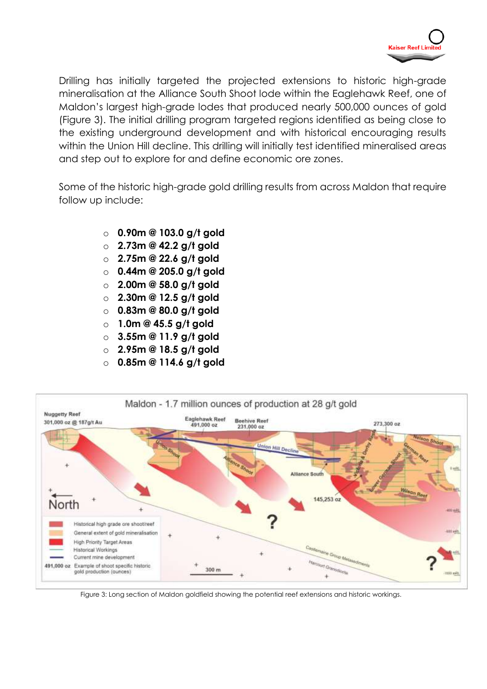

Drilling has initially targeted the projected extensions to historic high-grade mineralisation at the Alliance South Shoot lode within the Eaglehawk Reef, one of Maldon's largest high-grade lodes that produced nearly 500,000 ounces of gold (Figure 3). The initial drilling program targeted regions identified as being close to the existing underground development and with historical encouraging results within the Union Hill decline. This drilling will initially test identified mineralised areas and step out to explore for and define economic ore zones.

Some of the historic high-grade gold drilling results from across Maldon that require follow up include:

- o **0.90m @ 103.0 g/t gold**
- o **2.73m @ 42.2 g/t gold**
- o **2.75m @ 22.6 g/t gold**
- o **0.44m @ 205.0 g/t gold**
- o **2.00m @ 58.0 g/t gold**
- o **2.30m @ 12.5 g/t gold**
- o **0.83m @ 80.0 g/t gold**
- o **1.0m @ 45.5 g/t gold**
- o **3.55m @ 11.9 g/t gold**
- o **2.95m @ 18.5 g/t gold**
- o **0.85m @ 114.6 g/t gold**



Figure 3: Long section of Maldon goldfield showing the potential reef extensions and historic workings.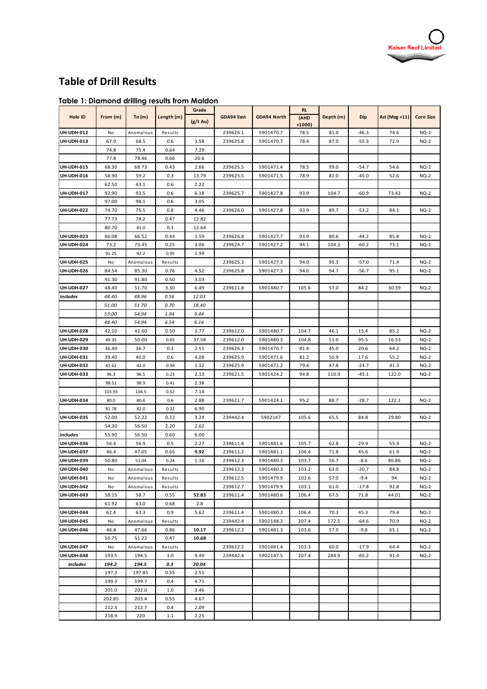

# **Table of Drill Results**

# **Table 1: Diamond drilling results from Maldon**

| <b>NOCE 1. Digitional difficult coolistic monthly incorporation</b> |                |                |              |                         |            |             |                               |           |         |               |                  |
|---------------------------------------------------------------------|----------------|----------------|--------------|-------------------------|------------|-------------|-------------------------------|-----------|---------|---------------|------------------|
| <b>Hole ID</b>                                                      | From (m)       | To $(m)$       | Length (m)   | Grade<br>$(g/t \t A u)$ | GDA94 East | GDA94 North | <b>RL</b><br>(AHD<br>$+1000)$ | Depth (m) | Dip     | Azi (Mag +11) | <b>Core Size</b> |
| <b>UH-UDH-012</b>                                                   | No             | Anomalous      | Results      |                         | 239626.1   | 5901470.7   | 78.5                          | 81.0      | -46.3   | 74.6          | $NQ-2$           |
| UH-UDH-013                                                          | 67.9           | 68.5           | 0.6          | 3.58                    | 239625.8   | 5901470.7   | 78.4                          | 87.0      | $-55.3$ | 72.9          | $NQ-2$           |
|                                                                     | 74.8           | 75.4           | 0.64         | 7.29                    |            |             |                               |           |         |               |                  |
|                                                                     | 77.8           | 78.46          | 0.66         | 20.6                    |            |             |                               |           |         |               |                  |
| <b>UH-UDH-015</b>                                                   | 68.30          | 68.73          | 0.43         | 2.66                    | 239625.5   | 5901471.4   | 78.5                          | 99.0      | $-54.7$ | 54.6          | $NQ-2$           |
| UH-UDH-016                                                          | 58.90          | 59.2           | 0.3          | 13.79                   | 239625.5   | 5901471.5   | 78.9                          | 81.0      | $-45.0$ | 52.6          | $NQ-2$           |
|                                                                     | 62.50          | 63.1           | 0.6          | 2.22                    |            |             |                               |           |         |               |                  |
| UH-UDH-017                                                          | 92.90          | 93.5           | 0.6          | 6.18                    | 239625.7   | 5901427.8   | 93.9                          | 104.7     | $-60.9$ | 73.42         | $NQ-2$           |
|                                                                     | 97.00          | 98.1           | 0.6          | 3.05                    |            |             |                               |           |         |               |                  |
| <b>UH-UDH-022</b>                                                   | 74.70          | 75.5           | 0.8          | 4.46                    | 239626.0   | 5901427.8   | 93.9                          | 89.7      | $-53.2$ | 84.1          | <b>NQ-2</b>      |
|                                                                     | 77.73          | 78.2           | 0.47         | 12.82                   |            |             |                               |           |         |               |                  |
|                                                                     | 80.70          | 81.0           | 0.3          | 12.64                   |            |             |                               |           |         |               |                  |
| <b>UH-UDH-023</b>                                                   | 66.08          | 66.52          | 0.44         | 1.59                    | 239626.8   | 5901427.7   | 93.9                          | 80.6      | $-44.2$ | 85.8          | <b>NQ-2</b>      |
| <b>UH-UDH-024</b>                                                   | 73.2           | 73.45          | 0.25         | 3.06                    | 239624.7   | 5901427.2   | 94.1                          | 104.3     | -60.2   | 73.1          | <b>NQ-2</b>      |
|                                                                     | 91.25          | 92.2           | 0.95         | 1.99                    |            |             |                               |           |         |               |                  |
| <b>UH-UDH-025</b>                                                   | No             | Anomalous      | Results      |                         | 239625.3   | 5901427.3   | 94.0                          | 95.3      | $-57.0$ | 71.4          | $NQ-2$           |
| UH-UDH-026                                                          | 84.54          | 85.30          | 0.76         | 4.52                    | 239625.8   | 5901427.3   | 94.0                          | 94.7      | $-56.7$ | 95.1          | <b>NQ-2</b>      |
|                                                                     | 91.30          | 91.80          | 0.50         | 3.03<br>6.49            |            |             |                               |           |         |               |                  |
| <b>UH-UDH-027</b>                                                   | 48.40          | 51.70          | 3.30         |                         | 239611.8   | 5901480.7   | 105.6                         | 57.0      | 84.2    | 30.39         | $NQ-2$           |
| includes                                                            | 48.40          | 48.96<br>51.70 | 0.56<br>0.70 | 12.03<br>18.40          |            |             |                               |           |         |               |                  |
|                                                                     | 51.00          |                |              |                         |            |             |                               |           |         |               |                  |
|                                                                     | 53.00<br>48.40 | 54.94<br>54.94 | 1.94<br>6.54 | 9.44<br>6.16            |            |             |                               |           |         |               |                  |
| <b>UH-UDH-028</b>                                                   | 42.10          | 42.60          | 0.50         | 3.77                    | 239612.0   | 5901480.7   | 104.7                         | 46.1      | 15.4    | 85.2          | $NQ-2$           |
| <b>UH-UDH-029</b>                                                   | 49.35          | 50.00          | 0.65         | 37.58                   | 239612.0   | 5901480.3   | 104.8                         | 51.0      | 95.5    | 16.53         | <b>NQ-2</b>      |
| <b>UH-UDH-030</b>                                                   | 36.40          | 36.7           | 0.3          | 2.51                    | 239626.3   | 5901470.7   | 81.4                          | 45.0      | 20.6    | 64.2          | <b>NQ-2</b>      |
| UH-UDH-031                                                          | 39.40          | 40.0           | 0.6          | 4.08                    | 239625.9   | 5901471.6   | 81.2                          | 50.9      | 17.6    | 55.2          | $NQ-2$           |
| <b>UH-UDH-032</b>                                                   | 41.62          | 42.0           | 0.38         | 1.12                    | 239625.9   | 5901471.2   | 79.4                          | 47.8      | $-24.7$ | 41.3          | $NQ-2$           |
| <b>UH-UDH-033</b>                                                   | 96.3           | 96.5           | 0.23         | 2.13                    | 239621.5   | 5901424.2   | 94.8                          | 110.9     | $-45.1$ | 122.0         | $NQ-2$           |
|                                                                     | 98.51          | 98.9           | 0.41         | 2.38                    |            |             |                               |           |         |               |                  |
|                                                                     | 103.93         | 104.5          | 0.52         | 7.14                    |            |             |                               |           |         |               |                  |
| <b>UH-UDH-034</b>                                                   | 80.0           | 80.6           | 0.6          | 2.88                    | 239621.7   | 5901424.1   | 95.2                          | 88.7      | $-28.7$ | 122.1         | $NQ-2$           |
|                                                                     | 81.78          | 82.0           | 0.22         | 6.90                    |            |             |                               |           |         |               |                  |
| <b>UH-UDH-035</b>                                                   | 52.00          | 52.22          | 0.22         | 3.24                    | 239442.4   | 5902147     | 105.6                         | 65.5      | 84.8    | 29.80         | <b>NQ-2</b>      |
|                                                                     | 54.30          | 56.50          | 2.20         | 2.62                    |            |             |                               |           |         |               |                  |
| includes                                                            | 55.90          | 56.50          | 0.60         | 6.00                    |            |             |                               |           |         |               |                  |
| <b>UH-UDH-036</b>                                                   | 56.4           | 56.9           | 0.5          | 2.27                    | 239611.8   | 5901481.6   | 105.7                         | 62.8      | 29.9    | 55.9          | $NQ-2$           |
| <b>UH-UDH-037</b>                                                   | 46.4           | 47.05          | 0.65         | 9.92                    | 239611.2   | 5901481.1   | 106.4                         | 71.8      | 45.6    | 61.9          | $NQ-2$           |
| UH-UDH-039                                                          | 50.80          | 51.04          | 0.24         | 1.16                    | 239612.3   | 5901480.3   | 103.7                         | 56.7      | $-8.6$  | 86.86         | $NQ-2$           |
| <b>UH-UDH-040</b>                                                   | No             | Anomalous      | Results      |                         | 239612.3   | 5901480.3   | 103.2                         | 63.0      | $-20.7$ | 84.8          | $NQ-2$           |
| <b>UH-UDH-041</b>                                                   | No             | Anomalous      | Results      |                         | 239612.5   | 5901479.9   | 103.6                         | 57.0      | $-9.4$  | 94            | $NQ-2$           |
| <b>UH-UDH-042</b>                                                   | No             | Anomalous      | Results      |                         | 239612.7   | 5901479.9   | 103.1                         | 61.0      | $-17.8$ | 92.8          | $NQ-2$           |
| <b>UH-UDH-043</b>                                                   | 58.15          | 58.7           | 0.55         | 52.83                   | 239611.4   | 5901480.6   | 106.4                         | 67.5      | 71.8    | 44.01         | <b>NQ-2</b>      |
|                                                                     | 61.92          | 63.0           | 0.68         | 2.8                     |            |             |                               |           |         |               |                  |
| <b>UH-UDH-044</b>                                                   | 62.4           | 63.3           | 0.9          | 5.62                    | 239611.4   | 5901480.3   | 106.4                         | 70.3      | 45.3    | 79.4          | $NQ-2$           |
| <b>UH-UDH-045</b>                                                   | No             | Anomalous      | Results      |                         | 239442.4   | 5902148.3   | 207.4                         | 172.5     | -64.6   | 70.9          | <b>NQ-2</b>      |
| UH-UDH-046                                                          | 46.8           | 47.66          | 0.86         | 10.17                   | 239612.2   | 5901481.3   | 103.6                         | 57.0      | $-9.8$  | 65.1          | $NQ-2$           |
|                                                                     | 50.75          | 51.22          | 0.47         | 10.68                   |            |             |                               |           |         |               |                  |
| <b>UH-UDH-047</b>                                                   | No             | Anomalous      | Results      |                         | 239612.2   | 5901481.4   | 103.3                         | 60.0      | $-17.9$ | 64.4          | $NQ-2$           |
| <b>UH-UDH-048</b>                                                   | 193.5          | 194.5          | 1.0          | 9.49                    | 239442.4   | 5902147.5   | 207.4                         | 284.9     | $-65.2$ | 91.4          | $NQ-2$           |
| includes                                                            | 194.2          | 194.5          | 0.3          | 20.04                   |            |             |                               |           |         |               |                  |
|                                                                     | 197.3          | 197.85         | 0.55         | 2.51                    |            |             |                               |           |         |               |                  |
|                                                                     | 199.3          | 199.7          | 0.4          | 4.71                    |            |             |                               |           |         |               |                  |
|                                                                     | 201.0          | 202.0          | 1.0          | 3.46                    |            |             |                               |           |         |               |                  |
|                                                                     | 202.85         | 203.4          | 0.55         | 4.67                    |            |             |                               |           |         |               |                  |
|                                                                     | 212.3          | 212.7          | 0.4          | 2.09                    |            |             |                               |           |         |               |                  |
|                                                                     | 218.9          | 220            | $1.1$        | 2.25                    |            |             |                               |           |         |               |                  |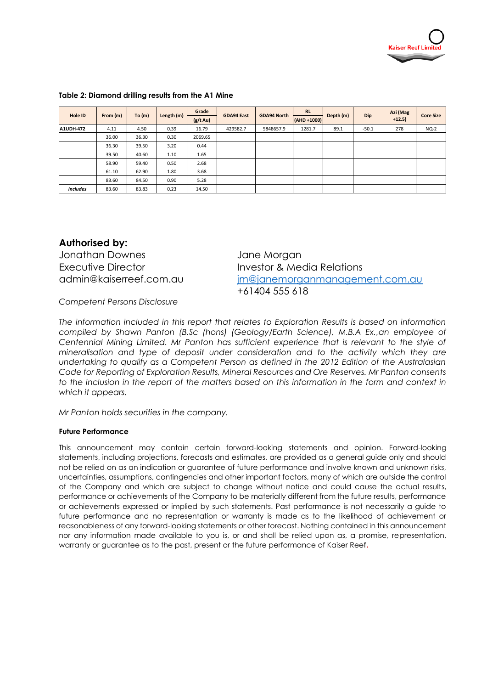

| Table 2: Diamond drilling results from the A1 Mine |          |        |            |               |                   |                    |             |           |            |                     |                  |
|----------------------------------------------------|----------|--------|------------|---------------|-------------------|--------------------|-------------|-----------|------------|---------------------|------------------|
| <b>Hole ID</b>                                     | From (m) | To (m) | Length (m) | Grade         | <b>GDA94 East</b> | <b>GDA94 North</b> | <b>RL</b>   | Depth (m) | <b>Dip</b> | Azi (Mag<br>$+12.5$ | <b>Core Size</b> |
|                                                    |          |        |            | $(g/t \, Au)$ |                   |                    | (AHD +1000) |           |            |                     |                  |
| A1UDH-472                                          | 4.11     | 4.50   | 0.39       | 16.79         | 429582.7          | 5848657.9          | 1281.7      | 89.1      | $-50.1$    | 278                 | $NQ-2$           |
|                                                    | 36.00    | 36.30  | 0.30       | 2069.65       |                   |                    |             |           |            |                     |                  |
|                                                    | 36.30    | 39.50  | 3.20       | 0.44          |                   |                    |             |           |            |                     |                  |
|                                                    | 39.50    | 40.60  | 1.10       | 1.65          |                   |                    |             |           |            |                     |                  |
|                                                    | 58.90    | 59.40  | 0.50       | 2.68          |                   |                    |             |           |            |                     |                  |
|                                                    | 61.10    | 62.90  | 1.80       | 3.68          |                   |                    |             |           |            |                     |                  |
|                                                    | 83.60    | 84.50  | 0.90       | 5.28          |                   |                    |             |           |            |                     |                  |
| includes                                           | 83.60    | 83.83  | 0.23       | 14.50         |                   |                    |             |           |            |                     |                  |

#### **Table 2: Diamond drilling results from the A1 Mine**

### **Authorised by:**

Jonathan Downes Executive Director admin@kaiserreef.com.au

### Jane Morgan Investor & Media Relations [jm@janemorganmanagement.com.au](mailto:jm@janemorganmanagement.com.au) +61404 555 618

*Competent Persons Disclosure*

*The information included in this report that relates to Exploration Results is based on information compiled by Shawn Panton (B.Sc (hons) (Geology/Earth Science), M.B.A Ex.,an employee of Centennial Mining Limited. Mr Panton has sufficient experience that is relevant to the style of mineralisation and type of deposit under consideration and to the activity which they are undertaking to qualify as a Competent Person as defined in the 2012 Edition of the Australasian Code for Reporting of Exploration Results, Mineral Resources and Ore Reserves. Mr Panton consents to the inclusion in the report of the matters based on this information in the form and context in which it appears.*

*Mr Panton holds securities in the company.* 

#### **Future Performance**

This announcement may contain certain forward-looking statements and opinion. Forward-looking statements, including projections, forecasts and estimates, are provided as a general guide only and should not be relied on as an indication or guarantee of future performance and involve known and unknown risks, uncertainties, assumptions, contingencies and other important factors, many of which are outside the control of the Company and which are subject to change without notice and could cause the actual results, performance or achievements of the Company to be materially different from the future results, performance or achievements expressed or implied by such statements. Past performance is not necessarily a guide to future performance and no representation or warranty is made as to the likelihood of achievement or reasonableness of any forward-looking statements or other forecast. Nothing contained in this announcement nor any information made available to you is, or and shall be relied upon as, a promise, representation, warranty or guarantee as to the past, present or the future performance of Kaiser Reef**.**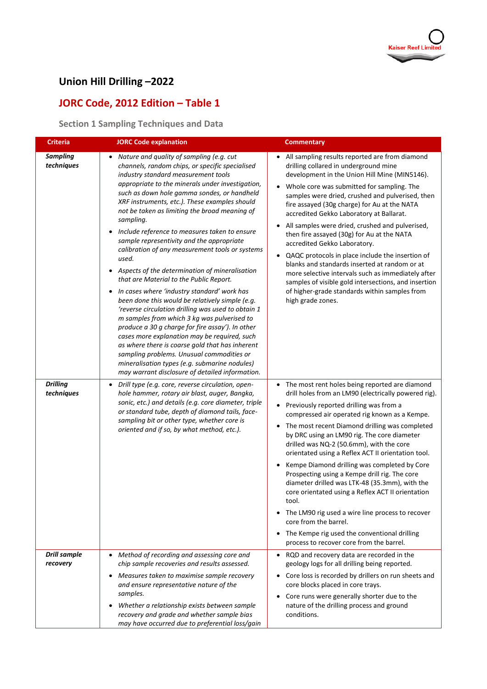

# **Union Hill Drilling –2022**

# **JORC Code, 2012 Edition – Table 1**

**Section 1 Sampling Techniques and Data**

| <b>Criteria</b>                 | <b>JORC Code explanation</b>                                                                                                                                                                                                                                                                                                                                                                                                                                                                                                                                                                                                                                                                                                                                                                                                                                                                                                                                                                                                                                                                                               | <b>Commentary</b>                                                                                                                                                                                                                                                                                                                                                                                                                                                                                                                                                                                                                                                                                                                                                                                                               |
|---------------------------------|----------------------------------------------------------------------------------------------------------------------------------------------------------------------------------------------------------------------------------------------------------------------------------------------------------------------------------------------------------------------------------------------------------------------------------------------------------------------------------------------------------------------------------------------------------------------------------------------------------------------------------------------------------------------------------------------------------------------------------------------------------------------------------------------------------------------------------------------------------------------------------------------------------------------------------------------------------------------------------------------------------------------------------------------------------------------------------------------------------------------------|---------------------------------------------------------------------------------------------------------------------------------------------------------------------------------------------------------------------------------------------------------------------------------------------------------------------------------------------------------------------------------------------------------------------------------------------------------------------------------------------------------------------------------------------------------------------------------------------------------------------------------------------------------------------------------------------------------------------------------------------------------------------------------------------------------------------------------|
| <b>Sampling</b><br>techniques   | Nature and quality of sampling (e.g. cut<br>channels, random chips, or specific specialised<br>industry standard measurement tools<br>appropriate to the minerals under investigation,<br>such as down hole gamma sondes, or handheld<br>XRF instruments, etc.). These examples should<br>not be taken as limiting the broad meaning of<br>sampling.<br>Include reference to measures taken to ensure<br>sample representivity and the appropriate<br>calibration of any measurement tools or systems<br>used.<br>Aspects of the determination of mineralisation<br>that are Material to the Public Report.<br>In cases where 'industry standard' work has<br>been done this would be relatively simple (e.g.<br>'reverse circulation drilling was used to obtain 1<br>m samples from which 3 kg was pulverised to<br>produce a 30 g charge for fire assay'). In other<br>cases more explanation may be required, such<br>as where there is coarse gold that has inherent<br>sampling problems. Unusual commodities or<br>mineralisation types (e.g. submarine nodules)<br>may warrant disclosure of detailed information. | All sampling results reported are from diamond<br>drilling collared in underground mine<br>development in the Union Hill Mine (MIN5146).<br>• Whole core was submitted for sampling. The<br>samples were dried, crushed and pulverised, then<br>fire assayed (30g charge) for Au at the NATA<br>accredited Gekko Laboratory at Ballarat.<br>All samples were dried, crushed and pulverised,<br>$\bullet$<br>then fire assayed (30g) for Au at the NATA<br>accredited Gekko Laboratory.<br>QAQC protocols in place include the insertion of<br>$\bullet$<br>blanks and standards inserted at random or at<br>more selective intervals such as immediately after<br>samples of visible gold intersections, and insertion<br>of higher-grade standards within samples from<br>high grade zones.                                    |
| <b>Drilling</b><br>techniques   | Drill type (e.g. core, reverse circulation, open-<br>hole hammer, rotary air blast, auger, Bangka,<br>sonic, etc.) and details (e.g. core diameter, triple<br>or standard tube, depth of diamond tails, face-<br>sampling bit or other type, whether core is<br>oriented and if so, by what method, etc.).                                                                                                                                                                                                                                                                                                                                                                                                                                                                                                                                                                                                                                                                                                                                                                                                                 | • The most rent holes being reported are diamond<br>drill holes from an LM90 (electrically powered rig).<br>Previously reported drilling was from a<br>$\bullet$<br>compressed air operated rig known as a Kempe.<br>The most recent Diamond drilling was completed<br>$\bullet$<br>by DRC using an LM90 rig. The core diameter<br>drilled was NQ-2 (50.6mm), with the core<br>orientated using a Reflex ACT II orientation tool.<br>Kempe Diamond drilling was completed by Core<br>Prospecting using a Kempe drill rig. The core<br>diameter drilled was LTK-48 (35.3mm), with the<br>core orientated using a Reflex ACT II orientation<br>tool.<br>• The LM90 rig used a wire line process to recover<br>core from the barrel.<br>• The Kempe rig used the conventional drilling<br>process to recover core from the barrel. |
| <b>Drill sample</b><br>recovery | Method of recording and assessing core and<br>$\bullet$<br>chip sample recoveries and results assessed.<br>Measures taken to maximise sample recovery<br>and ensure representative nature of the<br>samples.<br>Whether a relationship exists between sample<br>recovery and grade and whether sample bias<br>may have occurred due to preferential loss/gain                                                                                                                                                                                                                                                                                                                                                                                                                                                                                                                                                                                                                                                                                                                                                              | • RQD and recovery data are recorded in the<br>geology logs for all drilling being reported.<br>Core loss is recorded by drillers on run sheets and<br>core blocks placed in core trays.<br>Core runs were generally shorter due to the<br>$\bullet$<br>nature of the drilling process and ground<br>conditions.                                                                                                                                                                                                                                                                                                                                                                                                                                                                                                                |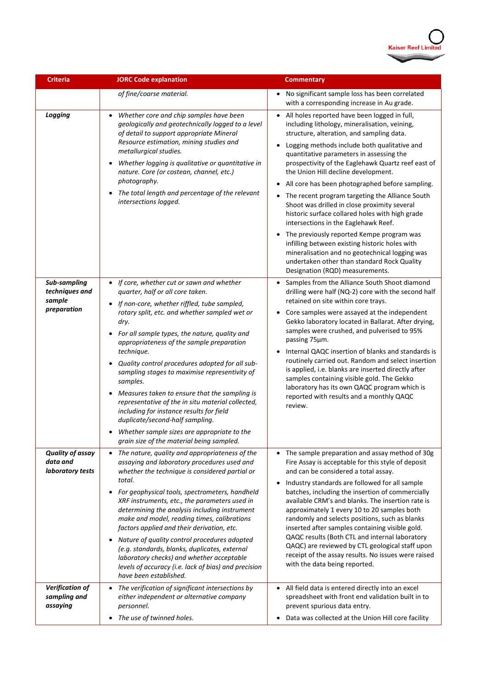

| <b>Criteria</b>                                         | <b>JORC Code explanation</b>                                                                                                                                                                                                                                                                                                                                                                                                                                                                                                                                                                                                                                                                                   | <b>Commentary</b>                                                                                                                                                                                                                                                                                                                                                                                                                                                                                                                                                                                                                                                                                                                                                                                                         |
|---------------------------------------------------------|----------------------------------------------------------------------------------------------------------------------------------------------------------------------------------------------------------------------------------------------------------------------------------------------------------------------------------------------------------------------------------------------------------------------------------------------------------------------------------------------------------------------------------------------------------------------------------------------------------------------------------------------------------------------------------------------------------------|---------------------------------------------------------------------------------------------------------------------------------------------------------------------------------------------------------------------------------------------------------------------------------------------------------------------------------------------------------------------------------------------------------------------------------------------------------------------------------------------------------------------------------------------------------------------------------------------------------------------------------------------------------------------------------------------------------------------------------------------------------------------------------------------------------------------------|
|                                                         | of fine/coarse material.                                                                                                                                                                                                                                                                                                                                                                                                                                                                                                                                                                                                                                                                                       | No significant sample loss has been correlated<br>with a corresponding increase in Au grade.                                                                                                                                                                                                                                                                                                                                                                                                                                                                                                                                                                                                                                                                                                                              |
| Logging                                                 | Whether core and chip samples have been<br>geologically and geotechnically logged to a level<br>of detail to support appropriate Mineral<br>Resource estimation, mining studies and<br>metallurgical studies.<br>Whether logging is qualitative or quantitative in<br>nature. Core (or costean, channel, etc.)<br>photography.<br>The total length and percentage of the relevant<br>intersections logged.                                                                                                                                                                                                                                                                                                     | All holes reported have been logged in full,<br>including lithology, mineralisation, veining,<br>structure, alteration, and sampling data.<br>Logging methods include both qualitative and<br>quantitative parameters in assessing the<br>prospectivity of the Eaglehawk Quartz reef east of<br>the Union Hill decline development.<br>All core has been photographed before sampling.<br>• The recent program targeting the Alliance South<br>Shoot was drilled in close proximity several<br>historic surface collared holes with high grade<br>intersections in the Eaglehawk Reef.<br>The previously reported Kempe program was<br>infilling between existing historic holes with<br>mineralisation and no geotechnical logging was<br>undertaken other than standard Rock Quality<br>Designation (RQD) measurements. |
| Sub-sampling<br>techniques and<br>sample<br>preparation | If core, whether cut or sawn and whether<br>$\bullet$<br>quarter, half or all core taken.<br>If non-core, whether riffled, tube sampled,<br>rotary split, etc. and whether sampled wet or<br>dry.<br>For all sample types, the nature, quality and<br>appropriateness of the sample preparation<br>technique.<br>Quality control procedures adopted for all sub-<br>sampling stages to maximise representivity of<br>samples.<br>Measures taken to ensure that the sampling is<br>representative of the in situ material collected,<br>including for instance results for field<br>duplicate/second-half sampling.<br>Whether sample sizes are appropriate to the<br>grain size of the material being sampled. | Samples from the Alliance South Shoot diamond<br>$\bullet$<br>drilling were half (NQ-2) core with the second half<br>retained on site within core trays.<br>Core samples were assayed at the independent<br>$\bullet$<br>Gekko laboratory located in Ballarat. After drying,<br>samples were crushed, and pulverised to 95%<br>passing 75µm.<br>Internal QAQC insertion of blanks and standards is<br>routinely carried out. Random and select insertion<br>is applied, i.e. blanks are inserted directly after<br>samples containing visible gold. The Gekko<br>laboratory has its own QAQC program which is<br>reported with results and a monthly QAQC<br>review.                                                                                                                                                      |
| <b>Quality of assay</b><br>data and<br>laboratory tests | The nature, quality and appropriateness of the<br>$\bullet$<br>assaying and laboratory procedures used and<br>whether the technique is considered partial or<br>total.<br>For geophysical tools, spectrometers, handheld<br>XRF instruments, etc., the parameters used in<br>determining the analysis including instrument<br>make and model, reading times, calibrations<br>factors applied and their derivation, etc.<br>Nature of quality control procedures adopted<br>(e.g. standards, blanks, duplicates, external<br>laboratory checks) and whether acceptable<br>levels of accuracy (i.e. lack of bias) and precision<br>have been established.                                                        | • The sample preparation and assay method of 30g<br>Fire Assay is acceptable for this style of deposit<br>and can be considered a total assay.<br>Industry standards are followed for all sample<br>batches, including the insertion of commercially<br>available CRM's and blanks. The insertion rate is<br>approximately 1 every 10 to 20 samples both<br>randomly and selects positions, such as blanks<br>inserted after samples containing visible gold.<br>QAQC results (Both CTL and internal laboratory<br>QAQC) are reviewed by CTL geological staff upon<br>receipt of the assay results. No issues were raised<br>with the data being reported.                                                                                                                                                                |
| Verification of<br>sampling and<br>assaying             | The verification of significant intersections by<br>$\bullet$<br>either independent or alternative company<br>personnel.<br>The use of twinned holes.                                                                                                                                                                                                                                                                                                                                                                                                                                                                                                                                                          | • All field data is entered directly into an excel<br>spreadsheet with front end validation built in to<br>prevent spurious data entry.<br>• Data was collected at the Union Hill core facility                                                                                                                                                                                                                                                                                                                                                                                                                                                                                                                                                                                                                           |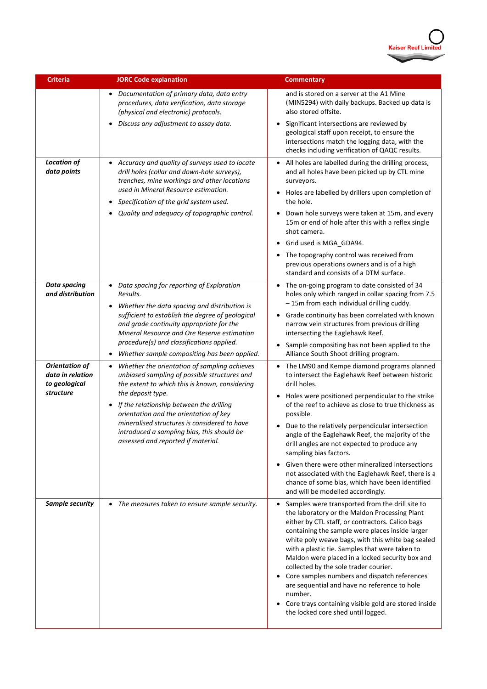

| Criteria                                                                | <b>JORC Code explanation</b>                                                                                                                                                                                                                                                                                                                                                                                            | <b>Commentary</b>                                                                                                                                                                                                                                                                                                                                                                                                                                                                                                                                                                                                                               |
|-------------------------------------------------------------------------|-------------------------------------------------------------------------------------------------------------------------------------------------------------------------------------------------------------------------------------------------------------------------------------------------------------------------------------------------------------------------------------------------------------------------|-------------------------------------------------------------------------------------------------------------------------------------------------------------------------------------------------------------------------------------------------------------------------------------------------------------------------------------------------------------------------------------------------------------------------------------------------------------------------------------------------------------------------------------------------------------------------------------------------------------------------------------------------|
|                                                                         | Documentation of primary data, data entry<br>procedures, data verification, data storage<br>(physical and electronic) protocols.<br>Discuss any adjustment to assay data.<br>$\bullet$                                                                                                                                                                                                                                  | and is stored on a server at the A1 Mine<br>(MIN5294) with daily backups. Backed up data is<br>also stored offsite.<br>Significant intersections are reviewed by<br>$\bullet$<br>geological staff upon receipt, to ensure the<br>intersections match the logging data, with the<br>checks including verification of QAQC results.                                                                                                                                                                                                                                                                                                               |
| <b>Location of</b><br>data points                                       | Accuracy and quality of surveys used to locate<br>drill holes (collar and down-hole surveys),<br>trenches, mine workings and other locations<br>used in Mineral Resource estimation.<br>Specification of the grid system used.<br>٠<br>Quality and adequacy of topographic control.                                                                                                                                     | All holes are labelled during the drilling process,<br>$\bullet$<br>and all holes have been picked up by CTL mine<br>surveyors.<br>Holes are labelled by drillers upon completion of<br>$\bullet$<br>the hole.<br>Down hole surveys were taken at 15m, and every<br>$\bullet$<br>15m or end of hole after this with a reflex single<br>shot camera.<br>Grid used is MGA_GDA94.<br>$\bullet$<br>The topography control was received from<br>previous operations owners and is of a high<br>standard and consists of a DTM surface.                                                                                                               |
| <b>Data spacing</b><br>and distribution                                 | Data spacing for reporting of Exploration<br>$\bullet$<br>Results.<br>Whether the data spacing and distribution is<br>$\bullet$<br>sufficient to establish the degree of geological<br>and grade continuity appropriate for the<br>Mineral Resource and Ore Reserve estimation<br>procedure(s) and classifications applied.<br>Whether sample compositing has been applied.<br>$\bullet$                                | The on-going program to date consisted of 34<br>$\bullet$<br>holes only which ranged in collar spacing from 7.5<br>-15m from each individual drilling cuddy.<br>Grade continuity has been correlated with known<br>$\bullet$<br>narrow vein structures from previous drilling<br>intersecting the Eaglehawk Reef.<br>Sample compositing has not been applied to the<br>$\bullet$<br>Alliance South Shoot drilling program.                                                                                                                                                                                                                      |
| <b>Orientation of</b><br>data in relation<br>to geological<br>structure | Whether the orientation of sampling achieves<br>$\bullet$<br>unbiased sampling of possible structures and<br>the extent to which this is known, considering<br>the deposit type.<br>If the relationship between the drilling<br>$\bullet$<br>orientation and the orientation of key<br>mineralised structures is considered to have<br>introduced a sampling bias, this should be<br>assessed and reported if material. | The LM90 and Kempe diamond programs planned<br>to intersect the Eaglehawk Reef between historic<br>drill holes.<br>Holes were positioned perpendicular to the strike<br>$\bullet$<br>of the reef to achieve as close to true thickness as<br>possible.<br>Due to the relatively perpendicular intersection<br>٠<br>angle of the Eaglehawk Reef, the majority of the<br>drill angles are not expected to produce any<br>sampling bias factors.<br>Given there were other mineralized intersections<br>not associated with the Eaglehawk Reef, there is a<br>chance of some bias, which have been identified<br>and will be modelled accordingly. |
| Sample security                                                         | • The measures taken to ensure sample security.                                                                                                                                                                                                                                                                                                                                                                         | Samples were transported from the drill site to<br>the laboratory or the Maldon Processing Plant<br>either by CTL staff, or contractors. Calico bags<br>containing the sample were places inside larger<br>white poly weave bags, with this white bag sealed<br>with a plastic tie. Samples that were taken to<br>Maldon were placed in a locked security box and<br>collected by the sole trader courier.<br>Core samples numbers and dispatch references<br>$\bullet$<br>are sequential and have no reference to hole<br>number.<br>Core trays containing visible gold are stored inside<br>the locked core shed until logged.                |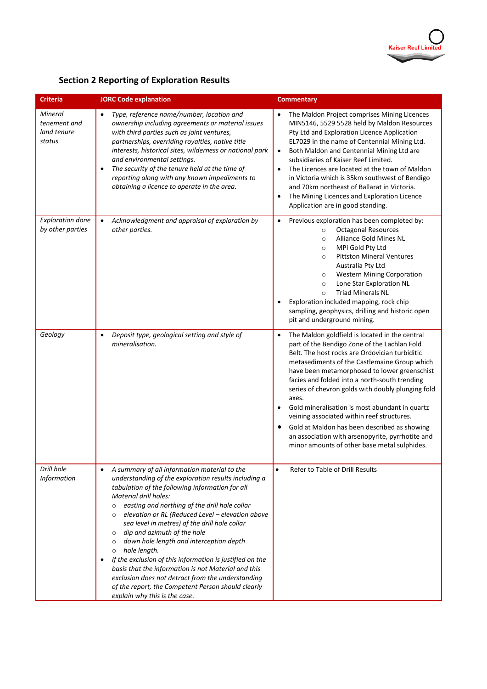

# **Section 2 Reporting of Exploration Results**

| <b>Criteria</b>                                  | <b>JORC Code explanation</b>                                                                                                                                                                                                                                                                                                                                                                                                                                                                                                                                                                                                                                                                                                                                        | <b>Commentary</b>                                                                                                                                                                                                                                                                                                                                                                                                                                                                                                                                                                                                                |
|--------------------------------------------------|---------------------------------------------------------------------------------------------------------------------------------------------------------------------------------------------------------------------------------------------------------------------------------------------------------------------------------------------------------------------------------------------------------------------------------------------------------------------------------------------------------------------------------------------------------------------------------------------------------------------------------------------------------------------------------------------------------------------------------------------------------------------|----------------------------------------------------------------------------------------------------------------------------------------------------------------------------------------------------------------------------------------------------------------------------------------------------------------------------------------------------------------------------------------------------------------------------------------------------------------------------------------------------------------------------------------------------------------------------------------------------------------------------------|
| Mineral<br>tenement and<br>land tenure<br>status | Type, reference name/number, location and<br>$\bullet$<br>ownership including agreements or material issues<br>with third parties such as joint ventures,<br>partnerships, overriding royalties, native title<br>interests, historical sites, wilderness or national park<br>and environmental settings.<br>The security of the tenure held at the time of<br>$\bullet$<br>reporting along with any known impediments to<br>obtaining a licence to operate in the area.                                                                                                                                                                                                                                                                                             | The Maldon Project comprises Mining Licences<br>MIN5146, 5529 5528 held by Maldon Resources<br>Pty Ltd and Exploration Licence Application<br>EL7029 in the name of Centennial Mining Ltd.<br>Both Maldon and Centennial Mining Ltd are<br>$\bullet$<br>subsidiaries of Kaiser Reef Limited.<br>The Licences are located at the town of Maldon<br>$\bullet$<br>in Victoria which is 35km southwest of Bendigo<br>and 70km northeast of Ballarat in Victoria.<br>The Mining Licences and Exploration Licence<br>$\bullet$<br>Application are in good standing.                                                                    |
| <b>Exploration done</b><br>by other parties      | Acknowledgment and appraisal of exploration by<br>$\bullet$<br>other parties.                                                                                                                                                                                                                                                                                                                                                                                                                                                                                                                                                                                                                                                                                       | Previous exploration has been completed by:<br>$\bullet$<br><b>Octagonal Resources</b><br>$\circ$<br>Alliance Gold Mines NL<br>$\circ$<br>MPI Gold Pty Ltd<br>$\circ$<br><b>Pittston Mineral Ventures</b><br>$\circ$<br>Australia Pty Ltd<br><b>Western Mining Corporation</b><br>$\circ$<br>Lone Star Exploration NL<br>$\circ$<br><b>Triad Minerals NL</b><br>$\circ$<br>Exploration included mapping, rock chip<br>sampling, geophysics, drilling and historic open<br>pit and underground mining.                                                                                                                            |
| Geology                                          | Deposit type, geological setting and style of<br>$\bullet$<br>mineralisation.                                                                                                                                                                                                                                                                                                                                                                                                                                                                                                                                                                                                                                                                                       | The Maldon goldfield is located in the central<br>$\bullet$<br>part of the Bendigo Zone of the Lachlan Fold<br>Belt. The host rocks are Ordovician turbiditic<br>metasediments of the Castlemaine Group which<br>have been metamorphosed to lower greenschist<br>facies and folded into a north-south trending<br>series of chevron golds with doubly plunging fold<br>axes.<br>Gold mineralisation is most abundant in quartz<br>veining associated within reef structures.<br>Gold at Maldon has been described as showing<br>an association with arsenopyrite, pyrrhotite and<br>minor amounts of other base metal sulphides. |
| Drill hole<br><b>Information</b>                 | A summary of all information material to the<br>$\bullet$<br>understanding of the exploration results including a<br>tabulation of the following information for all<br>Material drill holes:<br>easting and northing of the drill hole collar<br>$\circ$<br>elevation or RL (Reduced Level - elevation above<br>$\circ$<br>sea level in metres) of the drill hole collar<br>dip and azimuth of the hole<br>$\circ$<br>down hole length and interception depth<br>$\circ$<br>hole length.<br>$\circ$<br>If the exclusion of this information is justified on the<br>basis that the information is not Material and this<br>exclusion does not detract from the understanding<br>of the report, the Competent Person should clearly<br>explain why this is the case. | Refer to Table of Drill Results<br>$\bullet$                                                                                                                                                                                                                                                                                                                                                                                                                                                                                                                                                                                     |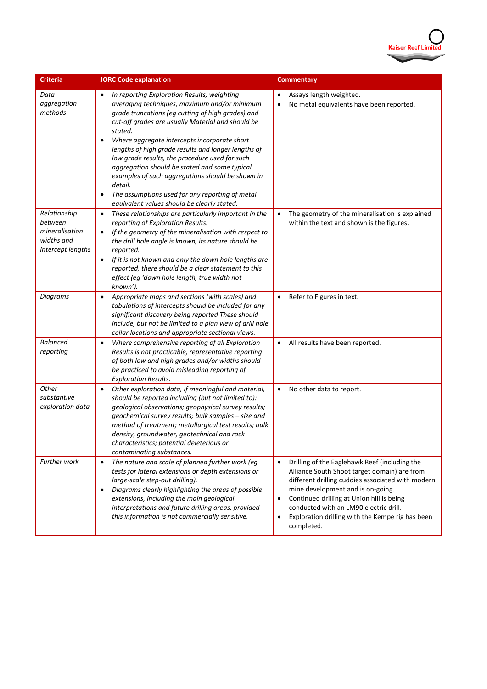

| Criteria                                                                     | <b>JORC Code explanation</b>                                                                                                                                                                                                                                                                                                                                                                                                                                                                                                                                                                                          | <b>Commentary</b>                                                                                                                                                                                                                                                                                                                                                                       |
|------------------------------------------------------------------------------|-----------------------------------------------------------------------------------------------------------------------------------------------------------------------------------------------------------------------------------------------------------------------------------------------------------------------------------------------------------------------------------------------------------------------------------------------------------------------------------------------------------------------------------------------------------------------------------------------------------------------|-----------------------------------------------------------------------------------------------------------------------------------------------------------------------------------------------------------------------------------------------------------------------------------------------------------------------------------------------------------------------------------------|
| Data<br>aggregation<br>methods                                               | In reporting Exploration Results, weighting<br>averaging techniques, maximum and/or minimum<br>grade truncations (eg cutting of high grades) and<br>cut-off grades are usually Material and should be<br>stated.<br>Where aggregate intercepts incorporate short<br>$\bullet$<br>lengths of high grade results and longer lengths of<br>low grade results, the procedure used for such<br>aggregation should be stated and some typical<br>examples of such aggregations should be shown in<br>detail.<br>The assumptions used for any reporting of metal<br>$\bullet$<br>equivalent values should be clearly stated. | Assays length weighted.<br>٠<br>No metal equivalents have been reported.<br>$\bullet$                                                                                                                                                                                                                                                                                                   |
| Relationship<br>between<br>mineralisation<br>widths and<br>intercept lengths | These relationships are particularly important in the<br>$\bullet$<br>reporting of Exploration Results.<br>If the geometry of the mineralisation with respect to<br>$\bullet$<br>the drill hole angle is known, its nature should be<br>reported.<br>If it is not known and only the down hole lengths are<br>$\bullet$<br>reported, there should be a clear statement to this<br>effect (eg 'down hole length, true width not<br>known').                                                                                                                                                                            | The geometry of the mineralisation is explained<br>$\bullet$<br>within the text and shown is the figures.                                                                                                                                                                                                                                                                               |
| <b>Diagrams</b>                                                              | Appropriate maps and sections (with scales) and<br>$\bullet$<br>tabulations of intercepts should be included for any<br>significant discovery being reported These should<br>include, but not be limited to a plan view of drill hole<br>collar locations and appropriate sectional views.                                                                                                                                                                                                                                                                                                                            | Refer to Figures in text.<br>$\bullet$                                                                                                                                                                                                                                                                                                                                                  |
| <b>Balanced</b><br>reporting                                                 | Where comprehensive reporting of all Exploration<br>$\bullet$<br>Results is not practicable, representative reporting<br>of both low and high grades and/or widths should<br>be practiced to avoid misleading reporting of<br><b>Exploration Results.</b>                                                                                                                                                                                                                                                                                                                                                             | All results have been reported.<br>$\bullet$                                                                                                                                                                                                                                                                                                                                            |
| Other<br>substantive<br>exploration data                                     | Other exploration data, if meaningful and material,<br>$\bullet$<br>should be reported including (but not limited to):<br>geological observations; geophysical survey results;<br>geochemical survey results; bulk samples - size and<br>method of treatment; metallurgical test results; bulk<br>density, groundwater, geotechnical and rock<br>characteristics; potential deleterious or<br>contaminating substances.                                                                                                                                                                                               | No other data to report.<br>$\bullet$                                                                                                                                                                                                                                                                                                                                                   |
| <b>Further work</b>                                                          | The nature and scale of planned further work (eg<br>$\bullet$<br>tests for lateral extensions or depth extensions or<br>large-scale step-out drilling).<br>Diagrams clearly highlighting the areas of possible<br>$\bullet$<br>extensions, including the main geological<br>interpretations and future drilling areas, provided<br>this information is not commercially sensitive.                                                                                                                                                                                                                                    | Drilling of the Eaglehawk Reef (including the<br>$\bullet$<br>Alliance South Shoot target domain) are from<br>different drilling cuddies associated with modern<br>mine development and is on-going.<br>Continued drilling at Union hill is being<br>$\bullet$<br>conducted with an LM90 electric drill.<br>Exploration drilling with the Kempe rig has been<br>$\bullet$<br>completed. |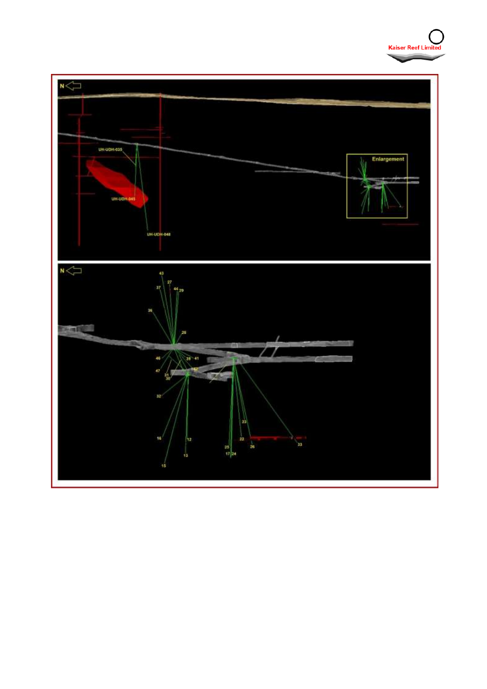

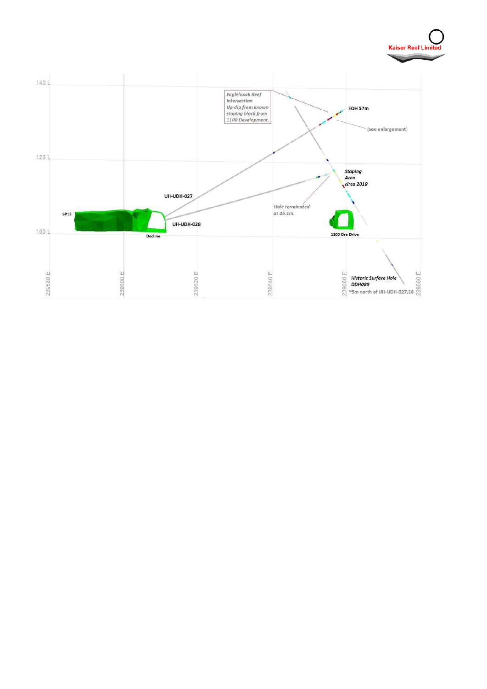

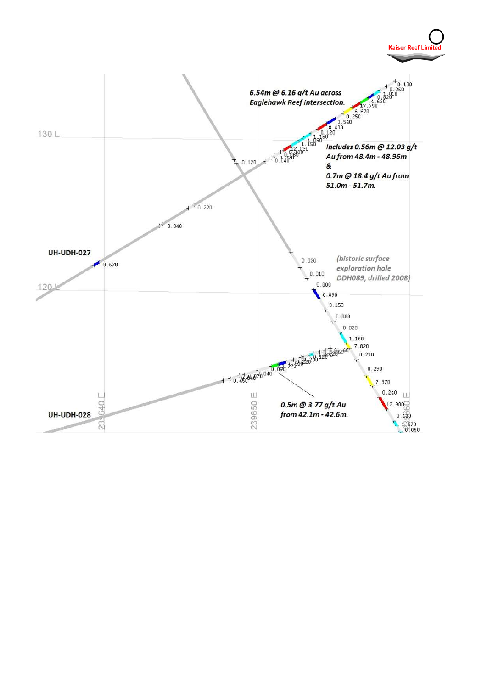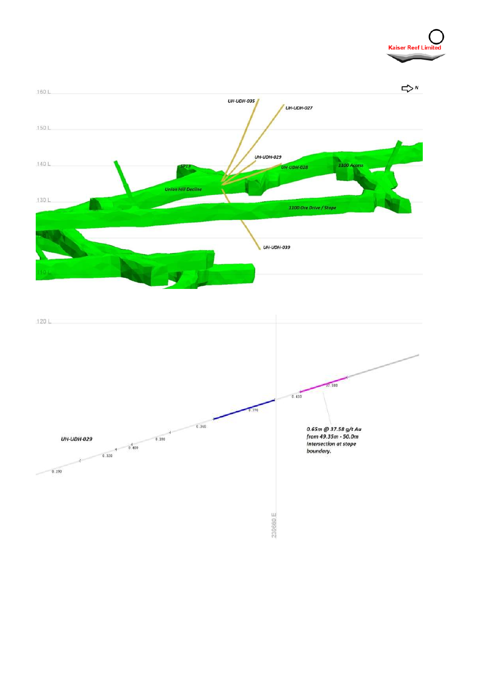

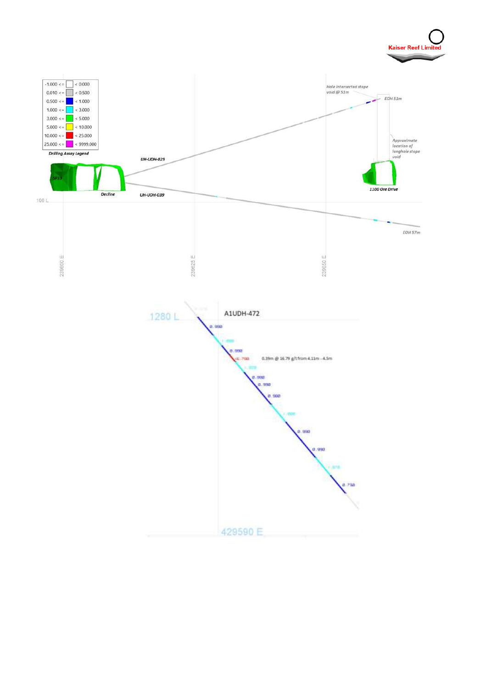